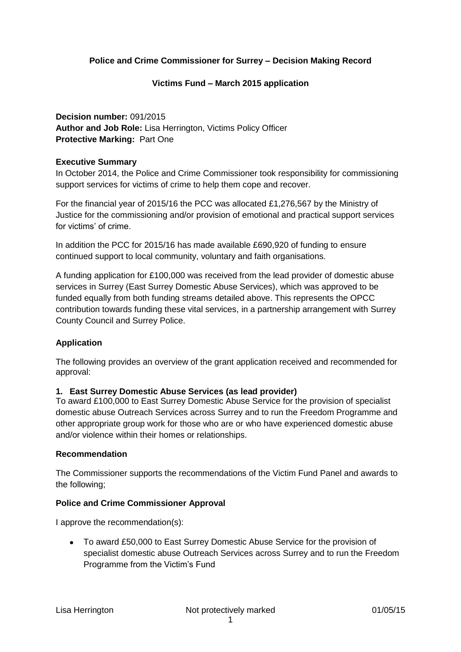### **Police and Crime Commissioner for Surrey – Decision Making Record**

### **Victims Fund – March 2015 application**

## **Decision number:** 091/2015 **Author and Job Role:** Lisa Herrington, Victims Policy Officer **Protective Marking:** Part One

### **Executive Summary**

In October 2014, the Police and Crime Commissioner took responsibility for commissioning support services for victims of crime to help them cope and recover.

For the financial year of 2015/16 the PCC was allocated £1,276,567 by the Ministry of Justice for the commissioning and/or provision of emotional and practical support services for victims' of crime.

In addition the PCC for 2015/16 has made available £690,920 of funding to ensure continued support to local community, voluntary and faith organisations.

A funding application for £100,000 was received from the lead provider of domestic abuse services in Surrey (East Surrey Domestic Abuse Services), which was approved to be funded equally from both funding streams detailed above. This represents the OPCC contribution towards funding these vital services, in a partnership arrangement with Surrey County Council and Surrey Police.

### **Application**

The following provides an overview of the grant application received and recommended for approval:

### **1. East Surrey Domestic Abuse Services (as lead provider)**

To award £100,000 to East Surrey Domestic Abuse Service for the provision of specialist domestic abuse Outreach Services across Surrey and to run the Freedom Programme and other appropriate group work for those who are or who have experienced domestic abuse and/or violence within their homes or relationships.

### **Recommendation**

The Commissioner supports the recommendations of the Victim Fund Panel and awards to the following;

### **Police and Crime Commissioner Approval**

I approve the recommendation(s):

To award £50,000 to East Surrey Domestic Abuse Service for the provision of specialist domestic abuse Outreach Services across Surrey and to run the Freedom Programme from the Victim's Fund